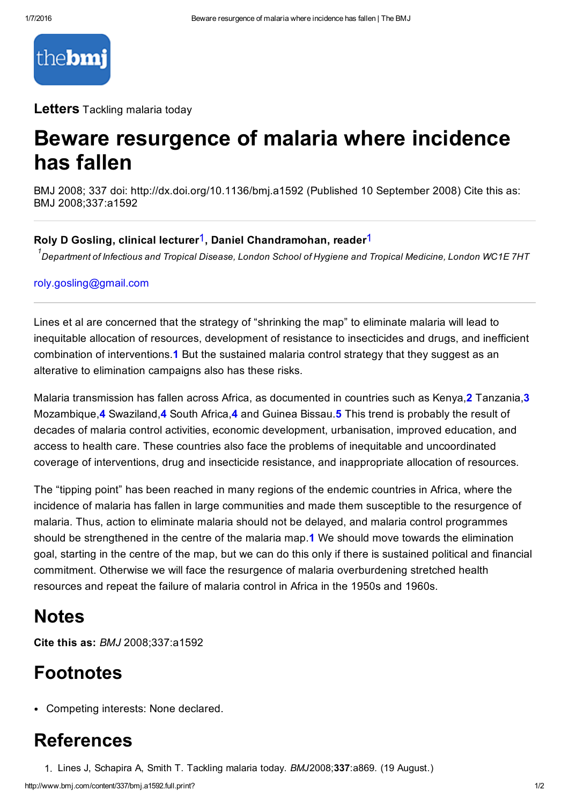

**Letters** Tackling malaria today

# Beware resurgence of malaria where incidence has fallen

BMJ 2008; 337 doi: http://dx.doi.org/10.1136/bmj.a1592 (Published 10 September 2008) Cite this as: BMJ 2008;337:a1592

### Roly D Gosling, clinical lecturer<sup>1</sup>, Daniel Chandramohan, reader<sup>1</sup>

 $^{\rm 1}$ Department of Infectious and Tropical Disease, London School of Hygiene and Tropical Medicine, London WC1E 7HT

#### [roly.gosling@gmail.com](mailto:roly.gosling@gmail.com)

Lines et al are concerned that the strategy of "shrinking the map" to eliminate malaria will lead to inequitable allocation of resources, development of resistance to insecticides and drugs, and inefficient combination of interventions.1 But the sustained malaria control strategy that they suggest as an alterative to elimination campaigns also has these risks.

Malaria transmission has fallen across Africa, as documented in countries such as Kenya, 2 Tanzania, 3 Mozambique,4 Swaziland,4 South Africa,4 and Guinea Bissau.5 This trend is probably the result of decades of malaria control activities, economic development, urbanisation, improved education, and access to health care. These countries also face the problems of inequitable and uncoordinated coverage of interventions, drug and insecticide resistance, and inappropriate allocation of resources.

The "tipping point" has been reached in many regions of the endemic countries in Africa, where the incidence of malaria has fallen in large communities and made them susceptible to the resurgence of malaria. Thus, action to eliminate malaria should not be delayed, and malaria control programmes should be strengthened in the centre of the malaria map.1 We should move towards the elimination goal, starting in the centre of the map, but we can do this only if there is sustained political and financial commitment. Otherwise we will face the resurgence of malaria overburdening stretched health resources and repeat the failure of malaria control in Africa in the 1950s and 1960s.

### Notes

Cite this as: *BMJ* 2008;337:a1592

# Footnotes

Competing interests: None declared.

# References

1. Lines J, Schapira A, Smith T. Tackling malaria today. *BMJ*2008;337:a869. (19 August.)